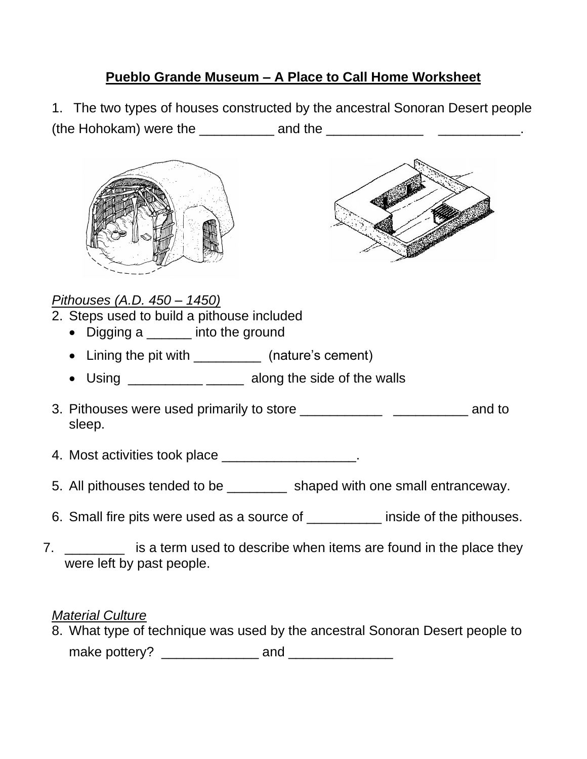## **Pueblo Grande Museum – A Place to Call Home Worksheet**

1. The two types of houses constructed by the ancestral Sonoran Desert people (the Hohokam) were the  $\frac{1}{2}$  and the  $\frac{1}{2}$  and the  $\frac{1}{2}$   $\frac{1}{2}$   $\frac{1}{2}$ 





## *Pithouses (A.D. 450 – 1450)*

- 2. Steps used to build a pithouse included
	- Digging a \_\_\_\_\_\_ into the ground
	- Lining the pit with \_\_\_\_\_\_\_\_\_\_\_\_ (nature's cement)
	- Using \_\_\_\_\_\_\_\_\_\_\_\_\_ \_\_\_\_\_\_ along the side of the walls
- 3. Pithouses were used primarily to store **EXACTE 10** and to sleep.
- 4. Most activities took place \_\_\_\_\_\_\_\_\_\_\_\_\_\_\_\_\_\_\_.
- 5. All pithouses tended to be \_\_\_\_\_\_\_\_\_ shaped with one small entranceway.
- 6. Small fire pits were used as a source of \_\_\_\_\_\_\_\_\_\_ inside of the pithouses.
- 7. \_\_\_\_\_\_\_\_ is a term used to describe when items are found in the place they were left by past people.

## *Material Culture*

8. What type of technique was used by the ancestral Sonoran Desert people to make pottery? \_\_\_\_\_\_\_\_\_\_\_\_\_ and \_\_\_\_\_\_\_\_\_\_\_\_\_\_